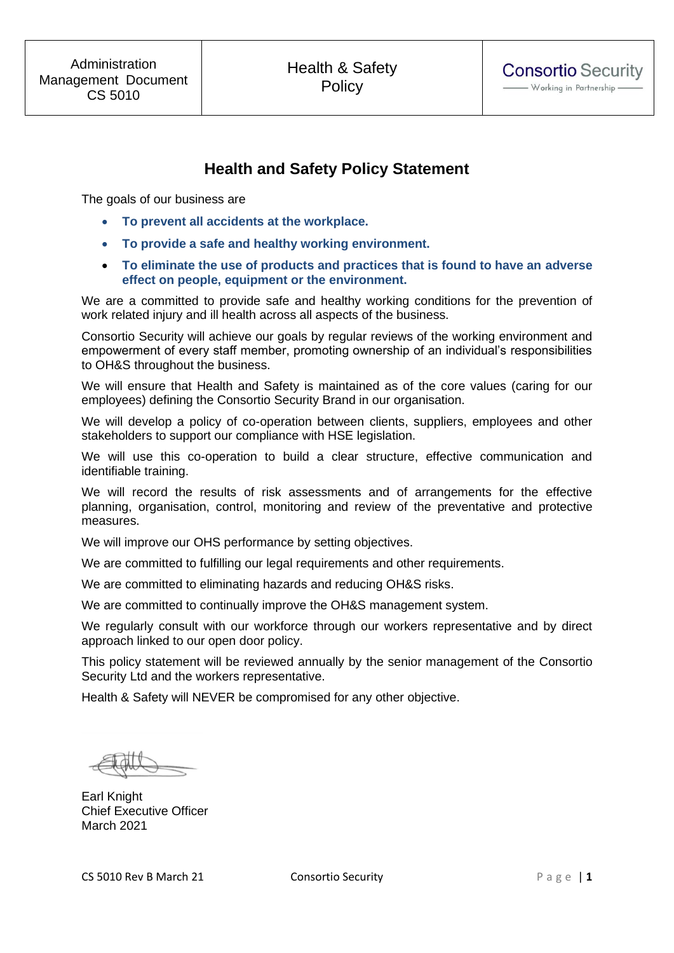# **Health and Safety Policy Statement**

The goals of our business are

- **To prevent all accidents at the workplace.**
- **To provide a safe and healthy working environment.**
- **To eliminate the use of products and practices that is found to have an adverse effect on people, equipment or the environment.**

We are a committed to provide safe and healthy working conditions for the prevention of work related injury and ill health across all aspects of the business.

Consortio Security will achieve our goals by regular reviews of the working environment and empowerment of every staff member, promoting ownership of an individual's responsibilities to OH&S throughout the business.

We will ensure that Health and Safety is maintained as of the core values (caring for our employees) defining the Consortio Security Brand in our organisation.

We will develop a policy of co-operation between clients, suppliers, employees and other stakeholders to support our compliance with HSE legislation.

We will use this co-operation to build a clear structure, effective communication and identifiable training.

We will record the results of risk assessments and of arrangements for the effective planning, organisation, control, monitoring and review of the preventative and protective measures.

We will improve our OHS performance by setting objectives.

We are committed to fulfilling our legal requirements and other requirements.

We are committed to eliminating hazards and reducing OH&S risks.

We are committed to continually improve the OH&S management system.

We regularly consult with our workforce through our workers representative and by direct approach linked to our open door policy.

This policy statement will be reviewed annually by the senior management of the Consortio Security Ltd and the workers representative.

Health & Safety will NEVER be compromised for any other objective.

Earl Knight Chief Executive Officer March 2021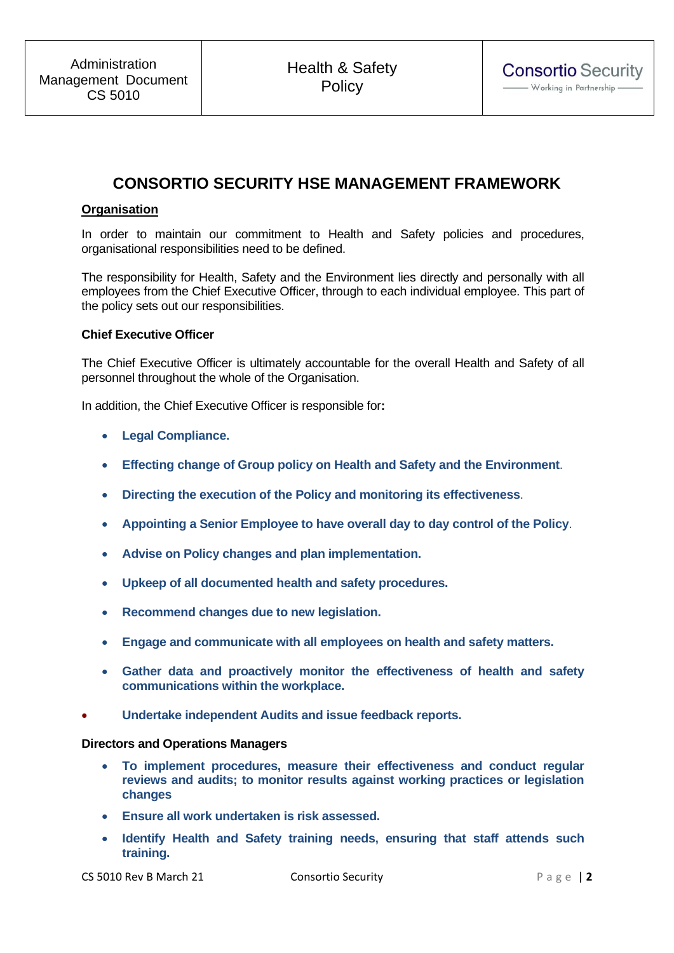# **CONSORTIO SECURITY HSE MANAGEMENT FRAMEWORK**

# **Organisation**

In order to maintain our commitment to Health and Safety policies and procedures, organisational responsibilities need to be defined.

The responsibility for Health, Safety and the Environment lies directly and personally with all employees from the Chief Executive Officer, through to each individual employee. This part of the policy sets out our responsibilities.

## **Chief Executive Officer**

The Chief Executive Officer is ultimately accountable for the overall Health and Safety of all personnel throughout the whole of the Organisation.

In addition, the Chief Executive Officer is responsible for**:**

- **Legal Compliance.**
- **Effecting change of Group policy on Health and Safety and the Environment**.
- **Directing the execution of the Policy and monitoring its effectiveness**.
- **Appointing a Senior Employee to have overall day to day control of the Policy**.
- **Advise on Policy changes and plan implementation.**
- **Upkeep of all documented health and safety procedures.**
- **Recommend changes due to new legislation.**
- **Engage and communicate with all employees on health and safety matters.**
- **Gather data and proactively monitor the effectiveness of health and safety communications within the workplace.**
- **Undertake independent Audits and issue feedback reports.**

#### **Directors and Operations Managers**

- **To implement procedures, measure their effectiveness and conduct regular reviews and audits; to monitor results against working practices or legislation changes**
- **Ensure all work undertaken is risk assessed.**
- **Identify Health and Safety training needs, ensuring that staff attends such training.**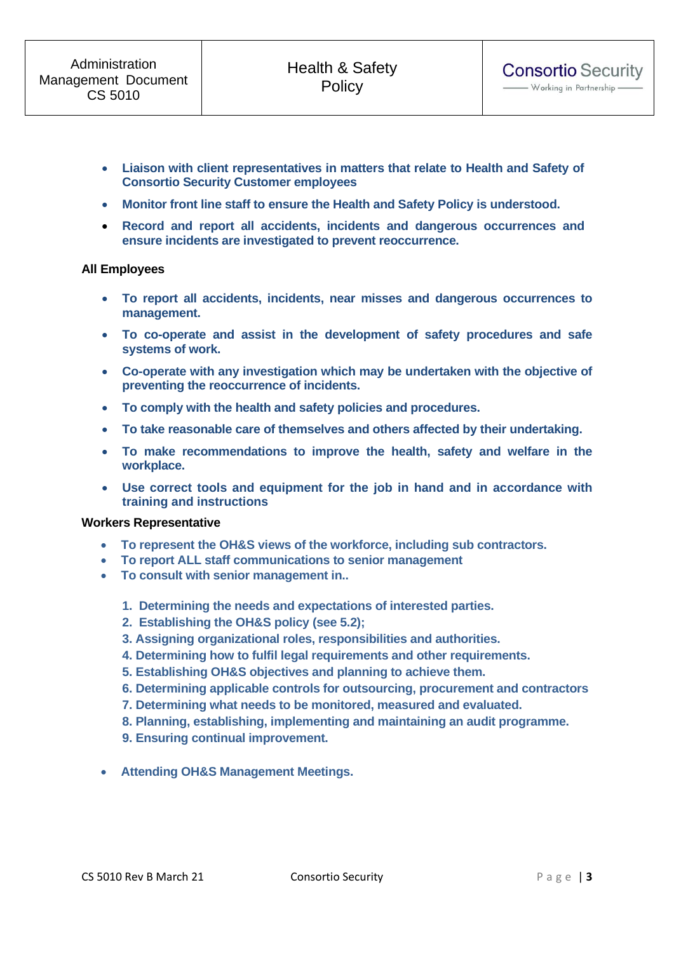- **Monitor front line staff to ensure the Health and Safety Policy is understood.**
- **Record and report all accidents, incidents and dangerous occurrences and ensure incidents are investigated to prevent reoccurrence.**

#### **All Employees**

- **To report all accidents, incidents, near misses and dangerous occurrences to management.**
- **To co-operate and assist in the development of safety procedures and safe systems of work.**
- **Co-operate with any investigation which may be undertaken with the objective of preventing the reoccurrence of incidents.**
- **To comply with the health and safety policies and procedures.**
- **To take reasonable care of themselves and others affected by their undertaking.**
- **To make recommendations to improve the health, safety and welfare in the workplace.**
- **Use correct tools and equipment for the job in hand and in accordance with training and instructions**

#### **Workers Representative**

- **To represent the OH&S views of the workforce, including sub contractors.**
- **To report ALL staff communications to senior management**
- **To consult with senior management in..**
	- **1. Determining the needs and expectations of interested parties.**
	- **2. Establishing the OH&S policy (see 5.2);**
	- **3. Assigning organizational roles, responsibilities and authorities.**
	- **4. Determining how to fulfil legal requirements and other requirements.**
	- **5. Establishing OH&S objectives and planning to achieve them.**
	- **6. Determining applicable controls for outsourcing, procurement and contractors**
	- **7. Determining what needs to be monitored, measured and evaluated.**
	- **8. Planning, establishing, implementing and maintaining an audit programme.**
	- **9. Ensuring continual improvement.**
- **Attending OH&S Management Meetings.**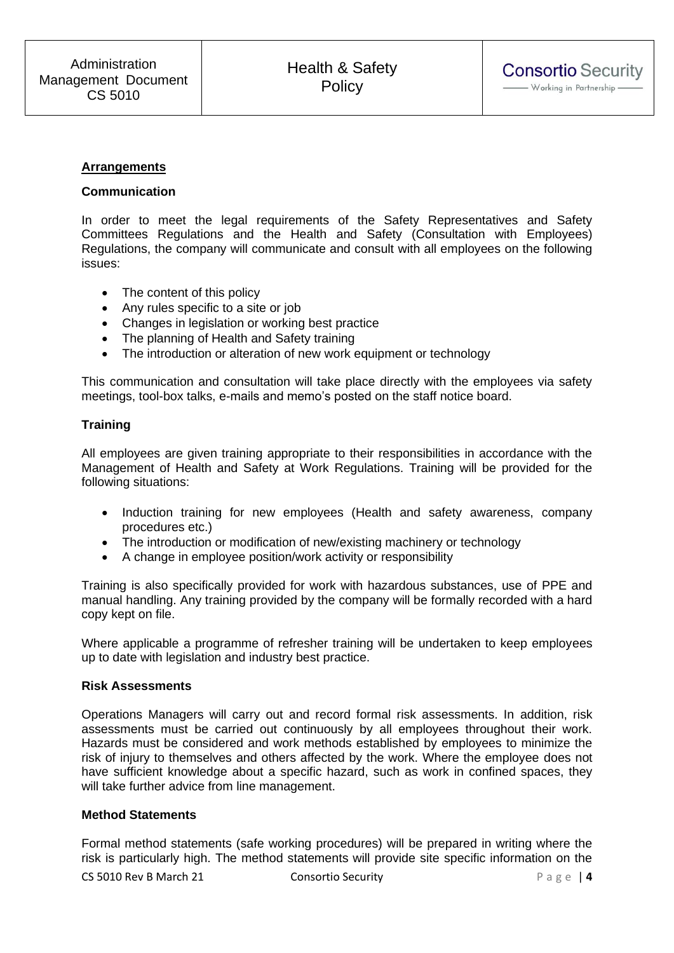#### **Arrangements**

#### **Communication**

In order to meet the legal requirements of the Safety Representatives and Safety Committees Regulations and the Health and Safety (Consultation with Employees) Regulations, the company will communicate and consult with all employees on the following issues:

- The content of this policy
- Any rules specific to a site or job
- Changes in legislation or working best practice
- The planning of Health and Safety training
- The introduction or alteration of new work equipment or technology

This communication and consultation will take place directly with the employees via safety meetings, tool-box talks, e-mails and memo's posted on the staff notice board.

#### **Training**

All employees are given training appropriate to their responsibilities in accordance with the Management of Health and Safety at Work Regulations. Training will be provided for the following situations:

- Induction training for new employees (Health and safety awareness, company procedures etc.)
- The introduction or modification of new/existing machinery or technology
- A change in employee position/work activity or responsibility

Training is also specifically provided for work with hazardous substances, use of PPE and manual handling. Any training provided by the company will be formally recorded with a hard copy kept on file.

Where applicable a programme of refresher training will be undertaken to keep employees up to date with legislation and industry best practice.

#### **Risk Assessments**

Operations Managers will carry out and record formal risk assessments. In addition, risk assessments must be carried out continuously by all employees throughout their work. Hazards must be considered and work methods established by employees to minimize the risk of injury to themselves and others affected by the work. Where the employee does not have sufficient knowledge about a specific hazard, such as work in confined spaces, they will take further advice from line management.

## **Method Statements**

Formal method statements (safe working procedures) will be prepared in writing where the risk is particularly high. The method statements will provide site specific information on the

CS 5010 Rev B March 21 Consortio Security P a g e | **4**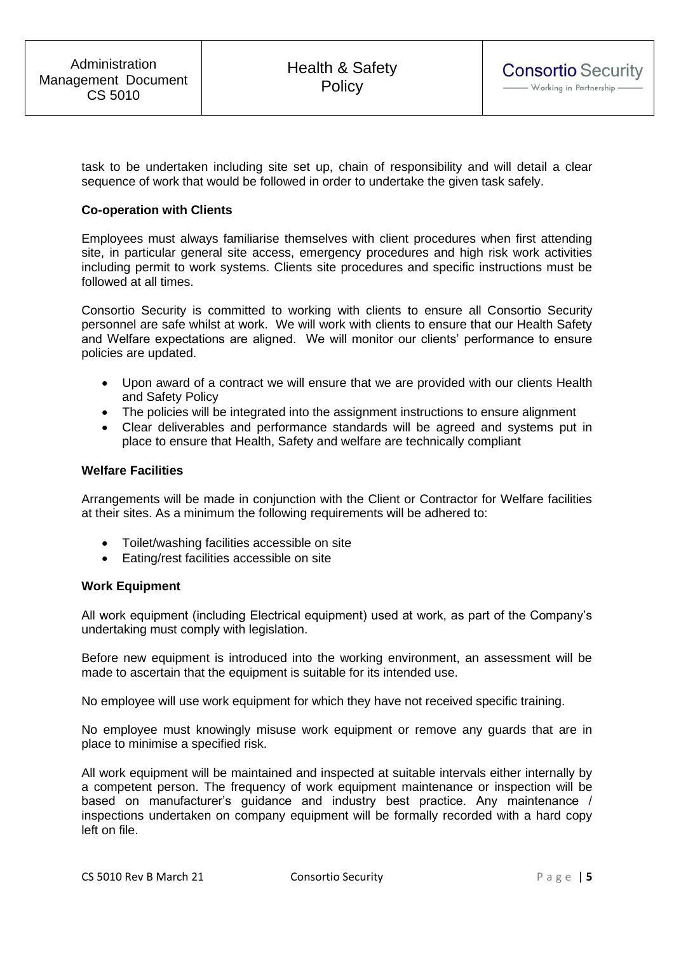task to be undertaken including site set up, chain of responsibility and will detail a clear sequence of work that would be followed in order to undertake the given task safely.

## **Co-operation with Clients**

Employees must always familiarise themselves with client procedures when first attending site, in particular general site access, emergency procedures and high risk work activities including permit to work systems. Clients site procedures and specific instructions must be followed at all times.

Consortio Security is committed to working with clients to ensure all Consortio Security personnel are safe whilst at work. We will work with clients to ensure that our Health Safety and Welfare expectations are aligned. We will monitor our clients' performance to ensure policies are updated.

- Upon award of a contract we will ensure that we are provided with our clients Health and Safety Policy
- The policies will be integrated into the assignment instructions to ensure alignment
- Clear deliverables and performance standards will be agreed and systems put in place to ensure that Health, Safety and welfare are technically compliant

#### **Welfare Facilities**

Arrangements will be made in conjunction with the Client or Contractor for Welfare facilities at their sites. As a minimum the following requirements will be adhered to:

- Toilet/washing facilities accessible on site
- Eating/rest facilities accessible on site

#### **Work Equipment**

All work equipment (including Electrical equipment) used at work, as part of the Company's undertaking must comply with legislation.

Before new equipment is introduced into the working environment, an assessment will be made to ascertain that the equipment is suitable for its intended use.

No employee will use work equipment for which they have not received specific training.

No employee must knowingly misuse work equipment or remove any guards that are in place to minimise a specified risk.

All work equipment will be maintained and inspected at suitable intervals either internally by a competent person. The frequency of work equipment maintenance or inspection will be based on manufacturer's guidance and industry best practice. Any maintenance / inspections undertaken on company equipment will be formally recorded with a hard copy left on file.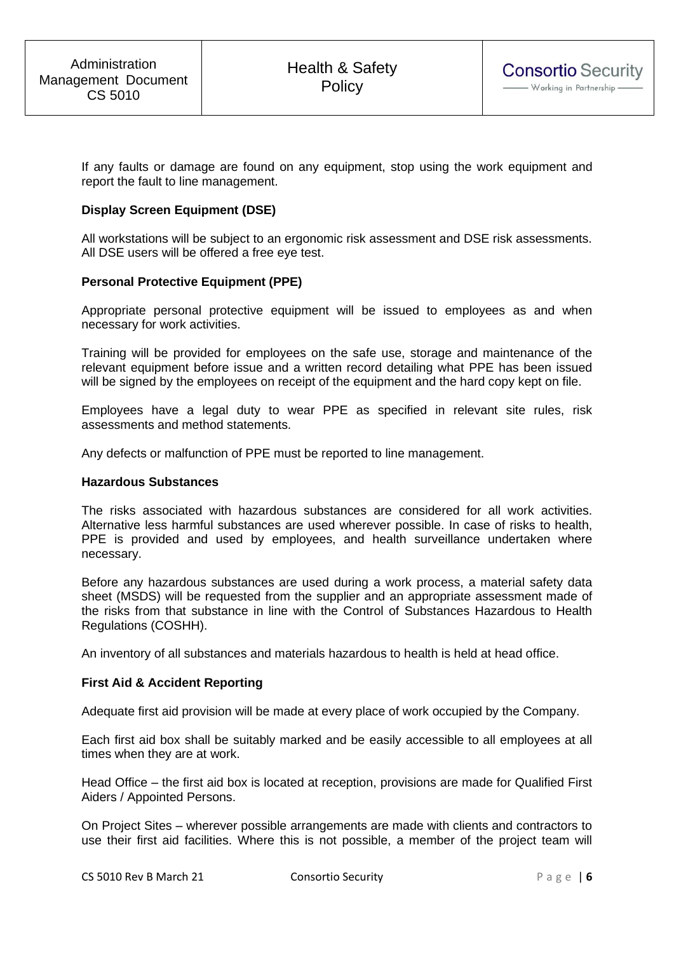If any faults or damage are found on any equipment, stop using the work equipment and report the fault to line management.

## **Display Screen Equipment (DSE)**

All workstations will be subject to an ergonomic risk assessment and DSE risk assessments. All DSE users will be offered a free eye test.

## **Personal Protective Equipment (PPE)**

Appropriate personal protective equipment will be issued to employees as and when necessary for work activities.

Training will be provided for employees on the safe use, storage and maintenance of the relevant equipment before issue and a written record detailing what PPE has been issued will be signed by the employees on receipt of the equipment and the hard copy kept on file.

Employees have a legal duty to wear PPE as specified in relevant site rules, risk assessments and method statements.

Any defects or malfunction of PPE must be reported to line management.

#### **Hazardous Substances**

The risks associated with hazardous substances are considered for all work activities. Alternative less harmful substances are used wherever possible. In case of risks to health, PPE is provided and used by employees, and health surveillance undertaken where necessary.

Before any hazardous substances are used during a work process, a material safety data sheet (MSDS) will be requested from the supplier and an appropriate assessment made of the risks from that substance in line with the Control of Substances Hazardous to Health Regulations (COSHH).

An inventory of all substances and materials hazardous to health is held at head office.

#### **First Aid & Accident Reporting**

Adequate first aid provision will be made at every place of work occupied by the Company.

Each first aid box shall be suitably marked and be easily accessible to all employees at all times when they are at work.

Head Office – the first aid box is located at reception, provisions are made for Qualified First Aiders / Appointed Persons.

On Project Sites – wherever possible arrangements are made with clients and contractors to use their first aid facilities. Where this is not possible, a member of the project team will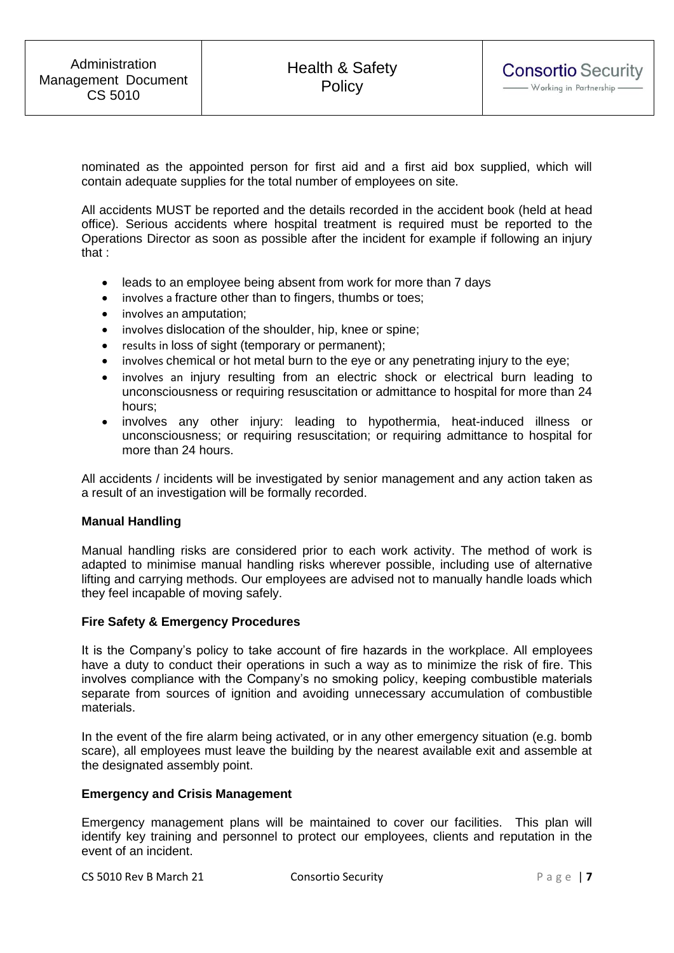nominated as the appointed person for first aid and a first aid box supplied, which will contain adequate supplies for the total number of employees on site.

All accidents MUST be reported and the details recorded in the accident book (held at head office). Serious accidents where hospital treatment is required must be reported to the Operations Director as soon as possible after the incident for example if following an injury that :

- leads to an employee being absent from work for more than 7 days
- involves a fracture other than to fingers, thumbs or toes;
- involves an amputation;
- involves dislocation of the shoulder, hip, knee or spine;
- results in loss of sight (temporary or permanent);
- involves chemical or hot metal burn to the eye or any penetrating injury to the eye;
- involves an injury resulting from an electric shock or electrical burn leading to unconsciousness or requiring resuscitation or admittance to hospital for more than 24 hours;
- involves any other injury: leading to hypothermia, heat-induced illness or unconsciousness; or requiring resuscitation; or requiring admittance to hospital for more than 24 hours.

All accidents / incidents will be investigated by senior management and any action taken as a result of an investigation will be formally recorded.

#### **Manual Handling**

Manual handling risks are considered prior to each work activity. The method of work is adapted to minimise manual handling risks wherever possible, including use of alternative lifting and carrying methods. Our employees are advised not to manually handle loads which they feel incapable of moving safely.

#### **Fire Safety & Emergency Procedures**

It is the Company's policy to take account of fire hazards in the workplace. All employees have a duty to conduct their operations in such a way as to minimize the risk of fire. This involves compliance with the Company's no smoking policy, keeping combustible materials separate from sources of ignition and avoiding unnecessary accumulation of combustible materials.

In the event of the fire alarm being activated, or in any other emergency situation (e.g. bomb scare), all employees must leave the building by the nearest available exit and assemble at the designated assembly point.

#### **Emergency and Crisis Management**

Emergency management plans will be maintained to cover our facilities. This plan will identify key training and personnel to protect our employees, clients and reputation in the event of an incident.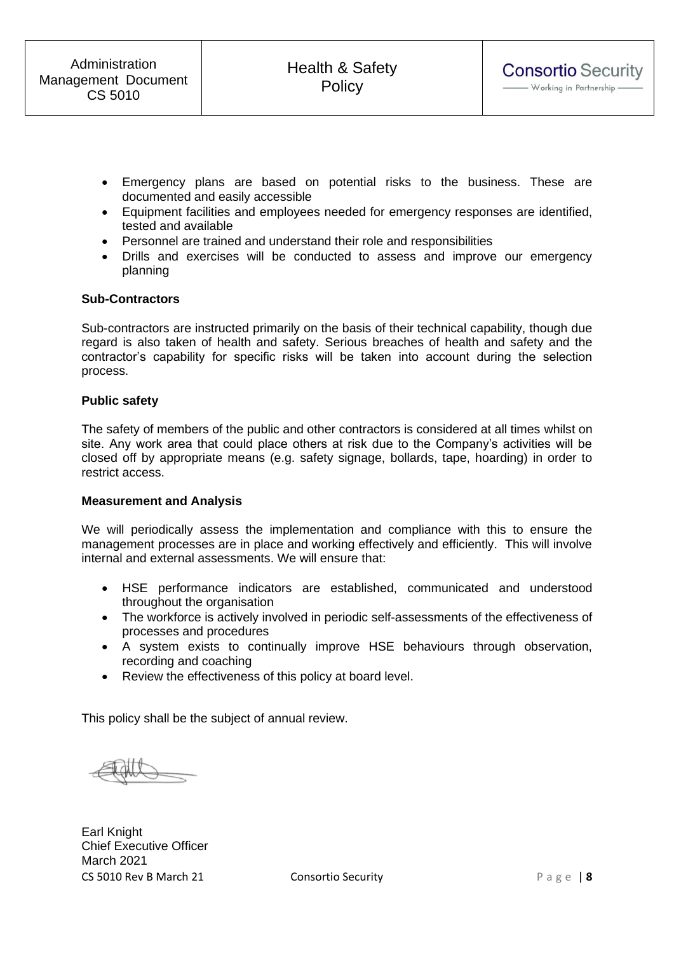- Emergency plans are based on potential risks to the business. These are documented and easily accessible
- Equipment facilities and employees needed for emergency responses are identified, tested and available
- Personnel are trained and understand their role and responsibilities
- Drills and exercises will be conducted to assess and improve our emergency planning

#### **Sub-Contractors**

Sub-contractors are instructed primarily on the basis of their technical capability, though due regard is also taken of health and safety. Serious breaches of health and safety and the contractor's capability for specific risks will be taken into account during the selection process.

#### **Public safety**

The safety of members of the public and other contractors is considered at all times whilst on site. Any work area that could place others at risk due to the Company's activities will be closed off by appropriate means (e.g. safety signage, bollards, tape, hoarding) in order to restrict access.

#### **Measurement and Analysis**

We will periodically assess the implementation and compliance with this to ensure the management processes are in place and working effectively and efficiently. This will involve internal and external assessments. We will ensure that:

- HSE performance indicators are established, communicated and understood throughout the organisation
- The workforce is actively involved in periodic self-assessments of the effectiveness of processes and procedures
- A system exists to continually improve HSE behaviours through observation, recording and coaching
- Review the effectiveness of this policy at board level.

This policy shall be the subject of annual review.

CS 5010 Rev B March 21 Consortio Security P a g e | **8** Earl Knight Chief Executive Officer March 2021